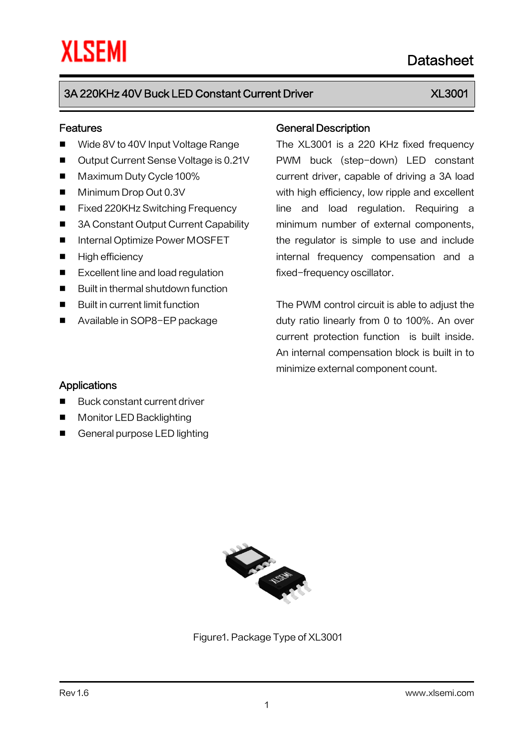# 3A 220KHz 40V Buck LED Constant Current Driver XL3001

Datasheet

#### Features

- Wide 8V to 40V Input Voltage Range
- Output Current Sense Voltage is 0.21V
- Maximum Duty Cycle 100%
- Minimum Drop Out 0.3V
- Fixed 220KHz Switching Frequency
- 3A Constant Output Current Capability
- Internal Optimize Power MOSFET
- **High efficiency**
- Excellent line and load regulation
- Built in thermal shutdown function
- **Built in current limit function**
- Available in SOP8-EP package

#### General Description

The XL3001 is a 220 KHz fixed frequency PWM buck (step-down) LED constant current driver, capable of driving a 3A load with high efficiency, low ripple and excellent line and load regulation. Requiring a minimum number of external components, the regulator is simple to use and include internal frequency compensation and a fixed-frequency oscillator.

The PWM control circuit is able to adjust the duty ratio linearly from 0 to 100%. An over current protection function is built inside. An internal compensation block is built in to minimize external component count.

#### **Applications**

- Buck constant current driver
- **Monitor LED Backlighting**
- General purpose LED lighting



Figure1. Package Type of XL3001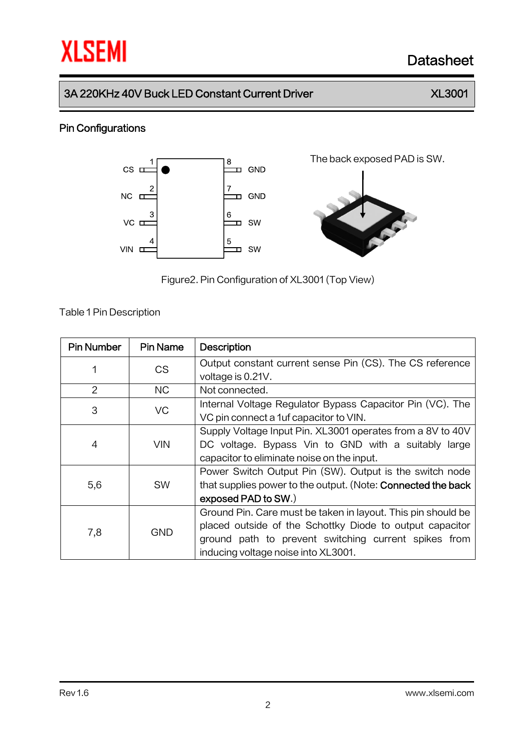# **XLSEMI** Datasheet

### 3A 220KHz 40V Buck LED Constant Current Driver XX 3001

### Pin Configurations



Figure2.Pin Configuration of XL3001 (Top View)

Table 1Pin Description

| <b>Pin Number</b> | <b>Pin Name</b> | <b>Description</b>                                                                                                                                                                                                      |  |  |  |
|-------------------|-----------------|-------------------------------------------------------------------------------------------------------------------------------------------------------------------------------------------------------------------------|--|--|--|
| 1                 | CS              | Output constant current sense Pin (CS). The CS reference<br>voltage is 0.21V.                                                                                                                                           |  |  |  |
| $\overline{2}$    | NС              | Not connected.                                                                                                                                                                                                          |  |  |  |
| 3                 | VC              | Internal Voltage Regulator Bypass Capacitor Pin (VC). The<br>VC pin connect a 1uf capacitor to VIN.                                                                                                                     |  |  |  |
| 4                 | VIN             | Supply Voltage Input Pin. XL3001 operates from a 8V to 40V<br>DC voltage. Bypass Vin to GND with a suitably large<br>capacitor to eliminate noise on the input.                                                         |  |  |  |
| 5,6               | <b>SW</b>       | Power Switch Output Pin (SW). Output is the switch node<br>that supplies power to the output. (Note: Connected the back<br>exposed PAD to SW.)                                                                          |  |  |  |
| 7,8               | <b>GND</b>      | Ground Pin. Care must be taken in layout. This pin should be<br>placed outside of the Schottky Diode to output capacitor<br>ground path to prevent switching current spikes from<br>inducing voltage noise into XL3001. |  |  |  |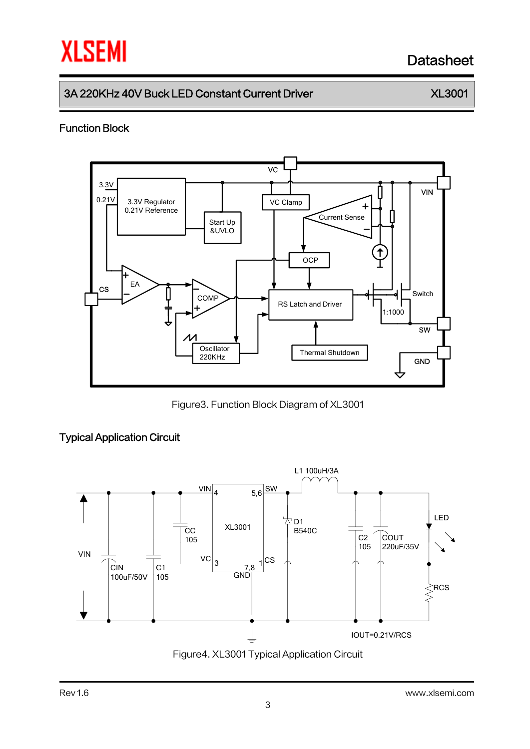# **XLSEMI** Datasheet

# 3A 220KHz 40V Buck LED Constant Current Driver XX 3001

#### Function Block



Figure3. Function Block Diagram of XL3001

#### Typical Application Circuit

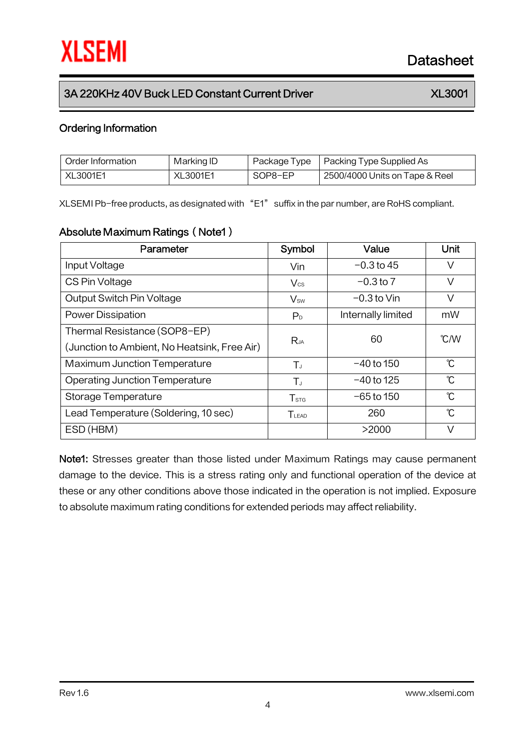# 3A 220KHz 40V Buck LED Constant Current Driver XX 3001

#### Ordering Information

| Order Information | Marking ID      | Package Type | Packing Type Supplied As       |
|-------------------|-----------------|--------------|--------------------------------|
| XL3001E1          | <b>XL3001E1</b> | SOP8-EP      | 2500/4000 Units on Tape & Reel |

XLSEMI Pb-free products, as designated with "E1" suffix in the par number, are RoHS compliant.

#### Absolute Maximum Ratings (Note1)

| Parameter                                    | Symbol           | Value              | Unit                      |
|----------------------------------------------|------------------|--------------------|---------------------------|
| Input Voltage                                | Vin              | $-0.3$ to 45       | V                         |
| CS Pin Voltage                               | $V_{\text{cs}}$  | $-0.3$ to $7$      | V                         |
| Output Switch Pin Voltage                    | $V_{sw}$         | $-0.3$ to Vin      | V                         |
| <b>Power Dissipation</b>                     | P <sub>D</sub>   | Internally limited | mW                        |
| Thermal Resistance (SOP8-EP)                 | $R_{JA}$         | 60                 | $\mathcal{C}/\mathcal{W}$ |
| (Junction to Ambient, No Heatsink, Free Air) |                  |                    |                           |
| <b>Maximum Junction Temperature</b>          | $T_{J}$          | $-40$ to 150       | $\mathcal{C}$             |
| <b>Operating Junction Temperature</b>        | $T_{J}$          | $-40$ to 125       | $\mathcal{C}$             |
| Storage Temperature                          | T <sub>STG</sub> | $-65$ to 150       | $\mathcal{C}$             |
| Lead Temperature (Soldering, 10 sec)         | $T_{LEAD}$       | 260                | °C                        |
| ESD (HBM)                                    |                  | >2000              | V                         |

Note1: Stresses greater than those listed under Maximum Ratings may cause permanent damage to the device. This is a stress rating only and functional operation of the device at these or any other conditions above those indicated in the operation is not implied. Exposure to absolute maximum rating conditions for extended periods may affect reliability.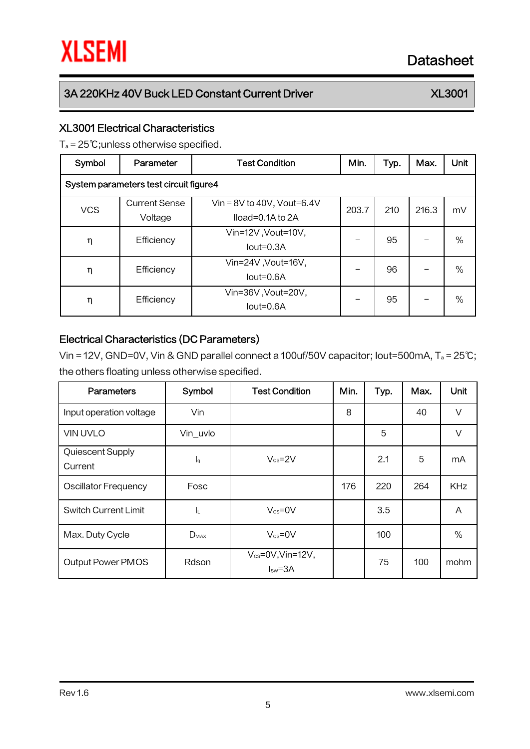# 3A 220KHz 40V Buck LED Constant Current Driver XX 3001

#### XL3001 Electrical Characteristics

T<sup>a</sup> = 25℃;unless otherwise specified.

| Symbol                                 | Parameter                       | <b>Test Condition</b>                                | Min.  | Typ. | Max.  | <b>Unit</b> |  |
|----------------------------------------|---------------------------------|------------------------------------------------------|-------|------|-------|-------------|--|
| System parameters test circuit figure4 |                                 |                                                      |       |      |       |             |  |
| <b>VCS</b>                             | <b>Current Sense</b><br>Voltage | Vin = $8V$ to 40V, Vout=6.4V<br>$Iload=0.1A$ to $2A$ | 203.7 | 210  | 216.3 | mV          |  |
| η                                      | Efficiency                      | Vin=12V, Vout=10V,<br>$Iout=0.3A$                    |       | 95   |       | $\%$        |  |
| η                                      | Efficiency                      | Vin=24V, Vout=16V,<br>lout=0.6A                      |       | 96   |       | $\%$        |  |
| η                                      | Efficiency                      | Vin=36V, Vout=20V,<br>lout=0.6A                      |       | 95   |       | $\%$        |  |

#### Electrical Characteristics (DC Parameters)

Vin = 12V, GND=0V, Vin & GND parallel connect a 100uf/50V capacitor; Iout=500mA, T<sup>a</sup> = 25℃; the others floating unless otherwise specified.

| <b>Parameters</b>           | Symbol    | <b>Test Condition</b>                | Min. | Typ. | Max. | Unit       |
|-----------------------------|-----------|--------------------------------------|------|------|------|------------|
| Input operation voltage     | Vin       |                                      | 8    |      | 40   | $\vee$     |
| <b>VIN UVLO</b>             | Vin_uvlo  |                                      |      | 5    |      | $\vee$     |
| Quiescent Supply<br>Current | Ιq        | $V_{\text{cs}} = 2V$                 |      | 2.1  | 5    | mA         |
| <b>Oscillator Frequency</b> | Fosc      |                                      | 176  | 220  | 264  | <b>KHz</b> |
| <b>Switch Current Limit</b> | ΙL        | $V_{cs} = 0V$                        |      | 3.5  |      | A          |
| Max. Duty Cycle             | $D_{MAX}$ | $V_{cs} = 0V$                        |      | 100  |      | $\%$       |
| <b>Output Power PMOS</b>    | Rdson     | $V_{cs} = 0V$ , Vin=12V,<br>$Isw=3A$ |      | 75   | 100  | mohm       |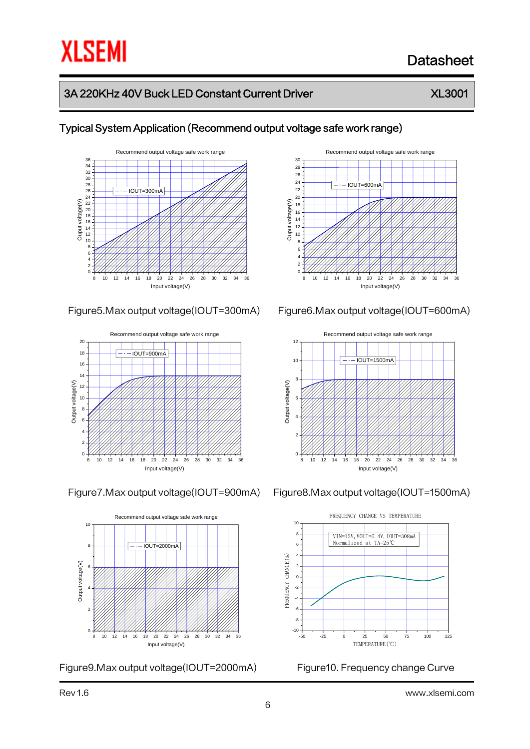# Datasheet

# 3A 220KHz 40V Buck LED Constant Current Driver XX 3001



#### Typical System Application (Recommend output voltage safe work range)







Figure9.Max output voltage(IOUT=2000mA) Figure10. Frequency change Curve











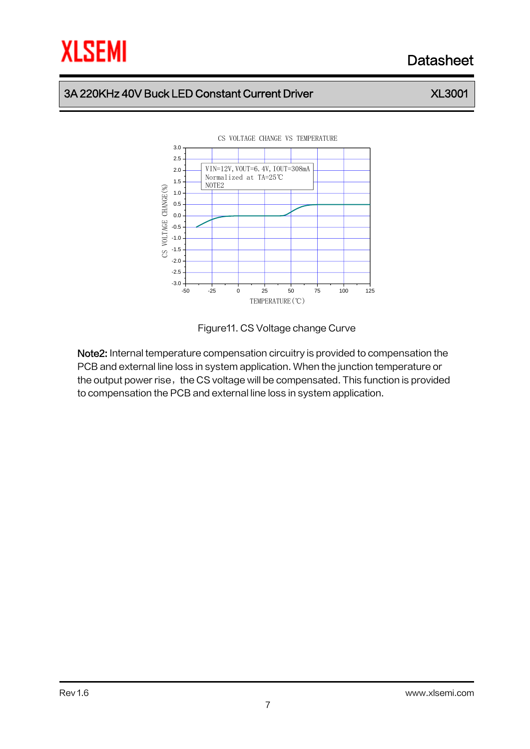# Datasheet

# 3A 220KHz 40V Buck LED Constant Current Driver XX 3001

#### -50 -25 0 25 50 75 100 125 -3.0 -2.5 -2.0 -1.5 -1.0 -0.5 0.0 0.5 1.0 1.5 2.0 2.5 CS VOLTAGE CHANGE VS TEMPERATURE CS VOLTAGE CHANGE(%) TEMPERATURE(℃) VIN=12V, VOUT=6. 4V, IOUT=308mA Normalized at TA=25℃ NOTE2



Note2: Internal temperature compensation circuitry is provided to compensation the PCB and external line loss in system application. When the junction temperature or the output power rise, the CS voltage will be compensated. This function is provided to compensation the PCB and external line loss in system application.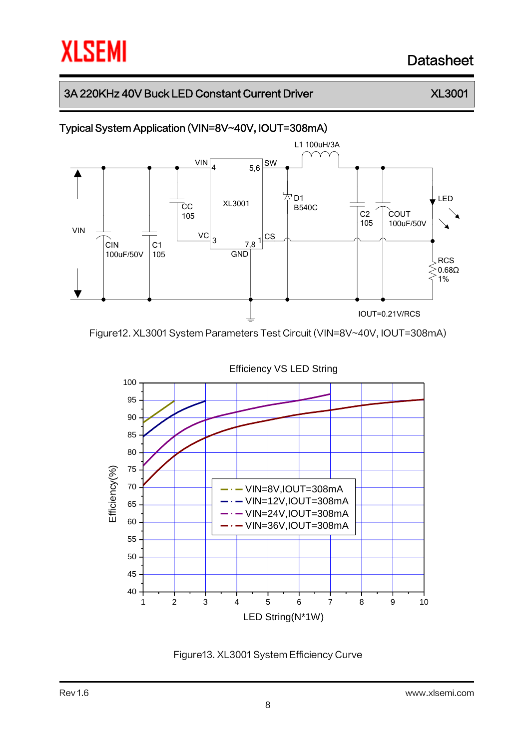# Datasheet

# 3A 220KHz 40V Buck LED Constant Current Driver XX 3001

### Typical System Application (VIN=8V~40V, IOUT=308mA)



Figure12. XL3001 System Parameters Test Circuit (VIN=8V~40V, IOUT=308mA)



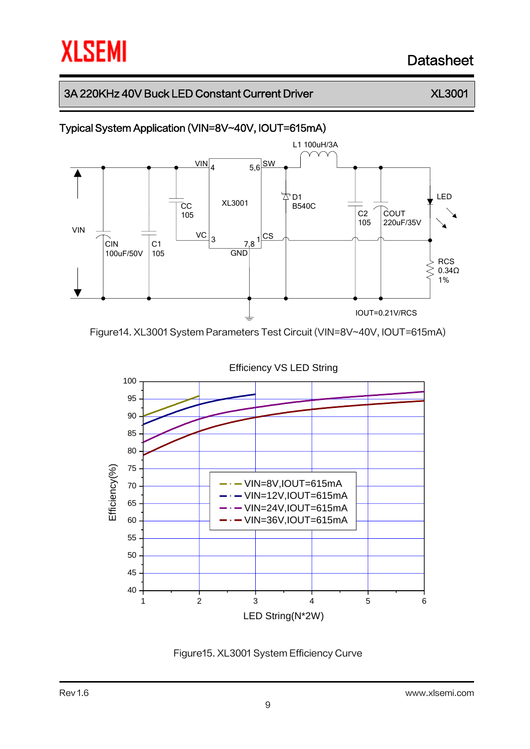# Datasheet

# 3A 220KHz 40V Buck LED Constant Current Driver XX 3001

### Typical System Application (VIN=8V~40V, IOUT=615mA)



Figure14. XL3001 System Parameters Test Circuit (VIN=8V~40V, IOUT=615mA)



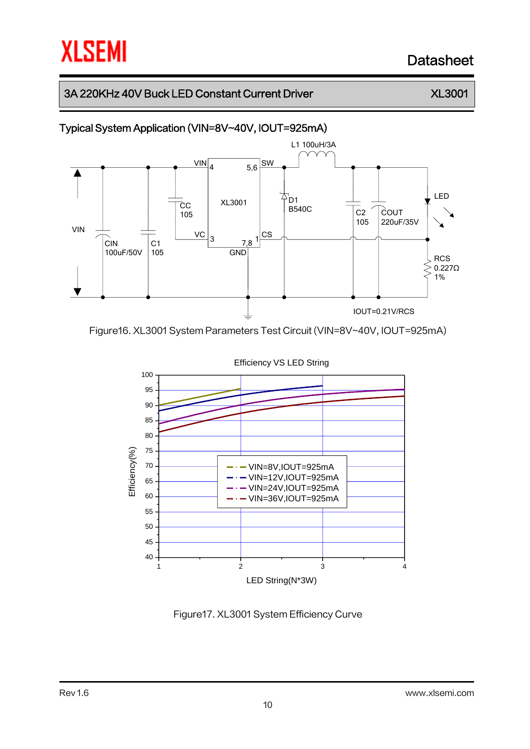# Datasheet

# 3A 220KHz 40V Buck LED Constant Current Driver XX 3001

### Typical System Application (VIN=8V~40V, IOUT=925mA)



Figure16. XL3001 System Parameters Test Circuit (VIN=8V~40V, IOUT=925mA)



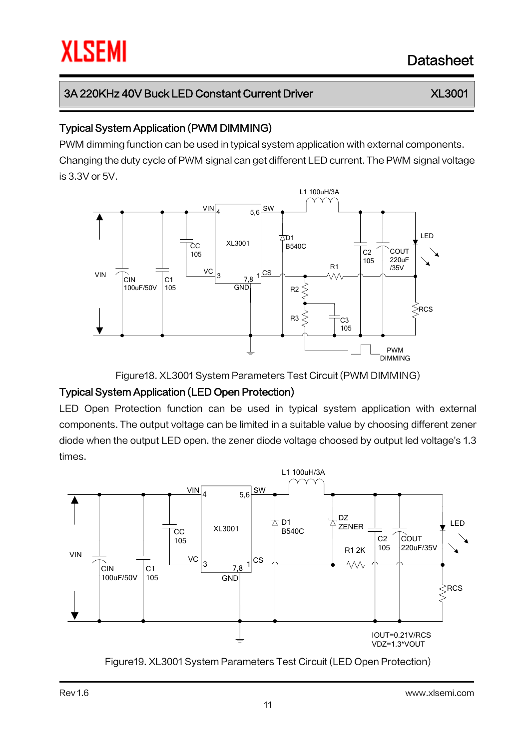### Typical System Application (PWM DIMMING)

PWM dimming function can be used in typical system application with external components. Changing the duty cycle of PWM signal can get different LED current. The PWM signal voltage is 3.3V or 5V.



Figure18. XL3001 System Parameters Test Circuit (PWM DIMMING)

# Typical System Application (LED Open Protection)

LED Open Protection function can be used in typical system application with external components. The output voltage can be limited in a suitable value by choosing different zener diode when the output LED open. the zener diode voltage choosed by output led voltage's 1.3 times.



Figure19. XL3001 System Parameters Test Circuit (LED Open Protection)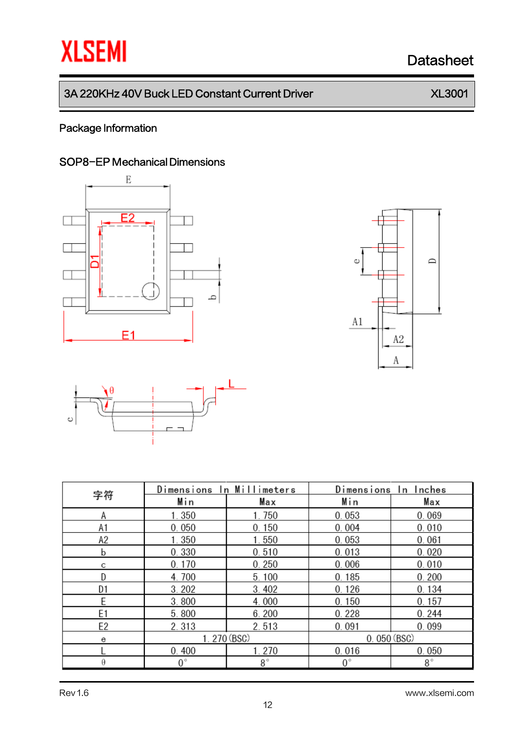# **XLSEMI** Datasheet

# 3A 220KHz 40V Buck LED Constant Current Driver XX 3001

### Package Information

### SOP8-EP Mechanical Dimensions







|                | Dimensions  | In Millimeters | Dimensions<br>In Inches |             |  |
|----------------|-------------|----------------|-------------------------|-------------|--|
| 字符             | Min         | Max            | Min                     | Max         |  |
| Α              | 1.350       | 1.750          | 0.053                   | 0.069       |  |
| A1             | 0.050       | 0.150          | 0.004                   | 0.010       |  |
| A2             | 1.350       | 1.550          | 0.053                   | 0.061       |  |
| b              | 0.330       | 0.510          | 0.013                   | 0.020       |  |
| С              | 0.170       | 0.250          | 0.006                   | 0.010       |  |
| D              | 4.700       | 5.100          | 0.185                   | 0.200       |  |
| D1             | 3.202       | 3.402          | 0.126                   | 0.134       |  |
| E              | 3.800       | 4.000          | 0.150                   | 0.157       |  |
| E <sub>1</sub> | 5.800       | 6.200          | 0.228                   | 0.244       |  |
| E2             | 2.313       | 2.513          | 0.091                   | 0.099       |  |
| е              | 1.270 (BSC) |                | 0.050(BSC)              |             |  |
|                | 0.400       | 1.270          | 0.016                   | 0.050       |  |
| θ              | $0^{\circ}$ | $8^{\circ}$    | $0^{\circ}$             | $8^{\circ}$ |  |